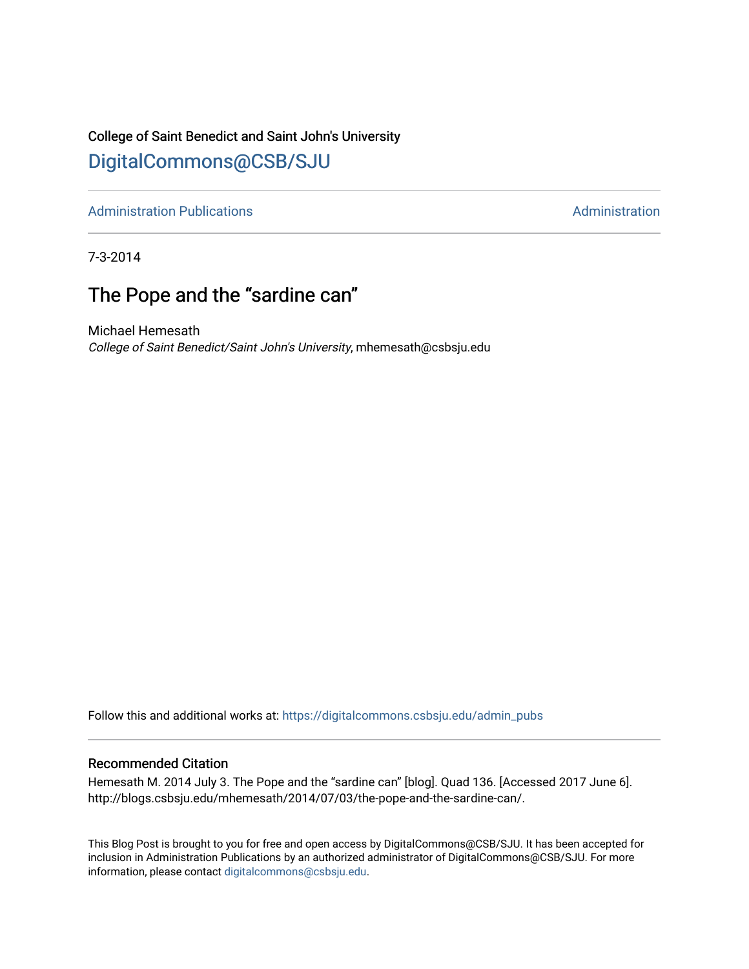### College of Saint Benedict and Saint John's University

## [DigitalCommons@CSB/SJU](https://digitalcommons.csbsju.edu/)

[Administration Publications](https://digitalcommons.csbsju.edu/admin_pubs) **Administration** Administration

7-3-2014

## The Pope and the "sardine can"

Michael Hemesath College of Saint Benedict/Saint John's University, mhemesath@csbsju.edu

Follow this and additional works at: [https://digitalcommons.csbsju.edu/admin\\_pubs](https://digitalcommons.csbsju.edu/admin_pubs?utm_source=digitalcommons.csbsju.edu%2Fadmin_pubs%2F100&utm_medium=PDF&utm_campaign=PDFCoverPages)

#### Recommended Citation

Hemesath M. 2014 July 3. The Pope and the "sardine can" [blog]. Quad 136. [Accessed 2017 June 6]. http://blogs.csbsju.edu/mhemesath/2014/07/03/the-pope-and-the-sardine-can/.

This Blog Post is brought to you for free and open access by DigitalCommons@CSB/SJU. It has been accepted for inclusion in Administration Publications by an authorized administrator of DigitalCommons@CSB/SJU. For more information, please contact [digitalcommons@csbsju.edu.](mailto:digitalcommons@csbsju.edu)